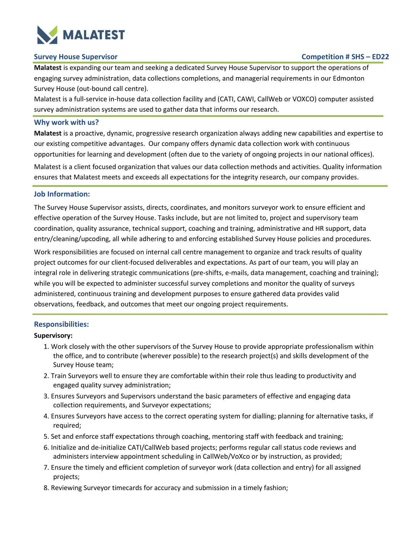

## **Survey House Supervisor Competition # SHS – ED22**

**Malatest** is expanding our team and seeking a dedicated Survey House Supervisor to support the operations of engaging survey administration, data collections completions, and managerial requirements in our Edmonton Survey House (out-bound call centre).

Malatest is a full-service in-house data collection facility and (CATI, CAWI, CallWeb or VOXCO) computer assisted survey administration systems are used to gather data that informs our research.

## **Why work with us?**

**Malatest** is a proactive, dynamic, progressive research organization always adding new capabilities and expertise to our existing competitive advantages. Our company offers dynamic data collection work with continuous opportunities for learning and development (often due to the variety of ongoing projects in our national offices).

Malatest is a client focused organization that values our data collection methods and activities. Quality information ensures that Malatest meets and exceeds all expectations for the integrity research, our company provides.

#### **Job Information:**

The Survey House Supervisor assists, directs, coordinates, and monitors surveyor work to ensure efficient and effective operation of the Survey House. Tasks include, but are not limited to, project and supervisory team coordination, quality assurance, technical support, coaching and training, administrative and HR support, data entry/cleaning/upcoding, all while adhering to and enforcing established Survey House policies and procedures.

Work responsibilities are focused on internal call centre management to organize and track results of quality project outcomes for our client-focused deliverables and expectations. As part of our team, you will play an integral role in delivering strategic communications (pre-shifts, e-mails, data management, coaching and training); while you will be expected to administer successful survey completions and monitor the quality of surveys administered, continuous training and development purposes to ensure gathered data provides valid observations, feedback, and outcomes that meet our ongoing project requirements.

## **Responsibilities:**

#### **Supervisory:**

- 1. Work closely with the other supervisors of the Survey House to provide appropriate professionalism within the office, and to contribute (wherever possible) to the research project(s) and skills development of the Survey House team;
- 2. Train Surveyors well to ensure they are comfortable within their role thus leading to productivity and engaged quality survey administration;
- 3. Ensures Surveyors and Supervisors understand the basic parameters of effective and engaging data collection requirements, and Surveyor expectations;
- 4. Ensures Surveyors have access to the correct operating system for dialling; planning for alternative tasks, if required;
- 5. Set and enforce staff expectations through coaching, mentoring staff with feedback and training;
- 6. Initialize and de-initialize CATI/CallWeb based projects; performs regular call status code reviews and administers interview appointment scheduling in CallWeb/VoXco or by instruction, as provided;
- 7. Ensure the timely and efficient completion of surveyor work (data collection and entry) for all assigned projects;
- 8. Reviewing Surveyor timecards for accuracy and submission in a timely fashion;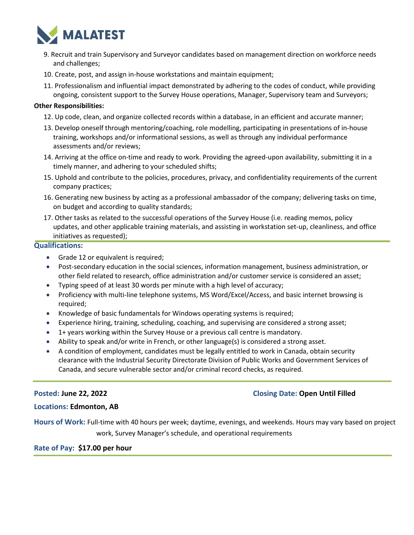

- 9. Recruit and train Supervisory and Surveyor candidates based on management direction on workforce needs and challenges;
- 10. Create, post, and assign in-house workstations and maintain equipment;
- 11. Professionalism and influential impact demonstrated by adhering to the codes of conduct, while providing ongoing, consistent support to the Survey House operations, Manager, Supervisory team and Surveyors;

## **Other Responsibilities:**

- 12. Up code, clean, and organize collected records within a database, in an efficient and accurate manner;
- 13. Develop oneself through mentoring/coaching, role modelling, participating in presentations of in-house training, workshops and/or informational sessions, as well as through any individual performance assessments and/or reviews;
- 14. Arriving at the office on-time and ready to work. Providing the agreed-upon availability, submitting it in a timely manner, and adhering to your scheduled shifts;
- 15. Uphold and contribute to the policies, procedures, privacy, and confidentiality requirements of the current company practices;
- 16. Generating new business by acting as a professional ambassador of the company; delivering tasks on time, on budget and according to quality standards;
- 17. Other tasks as related to the successful operations of the Survey House (i.e. reading memos, policy updates, and other applicable training materials, and assisting in workstation set-up, cleanliness, and office initiatives as requested);

## **Qualifications:**

- Grade 12 or equivalent is required;
- Post-secondary education in the social sciences, information management, business administration, or other field related to research, office administration and/or customer service is considered an asset;
- Typing speed of at least 30 words per minute with a high level of accuracy;
- Proficiency with multi-line telephone systems, MS Word/Excel/Access, and basic internet browsing is required;
- Knowledge of basic fundamentals for Windows operating systems is required;
- Experience hiring, training, scheduling, coaching, and supervising are considered a strong asset;
- 1+ years working within the Survey House or a previous call centre is mandatory.
- Ability to speak and/or write in French, or other language(s) is considered a strong asset.
- A condition of employment, candidates must be legally entitled to work in Canada, obtain security clearance with the Industrial Security Directorate Division of Public Works and Government Services of Canada, and secure vulnerable sector and/or criminal record checks, as required.

# **Posted: June 22, 2022 Closing Date: Open Until Filled**

## **Locations: Edmonton, AB**

**Hours of Work:** Full-time with 40 hours per week; daytime, evenings, and weekends. Hours may vary based on project work, Survey Manager's schedule, and operational requirements

# **Rate of Pay: \$17.00 per hour**